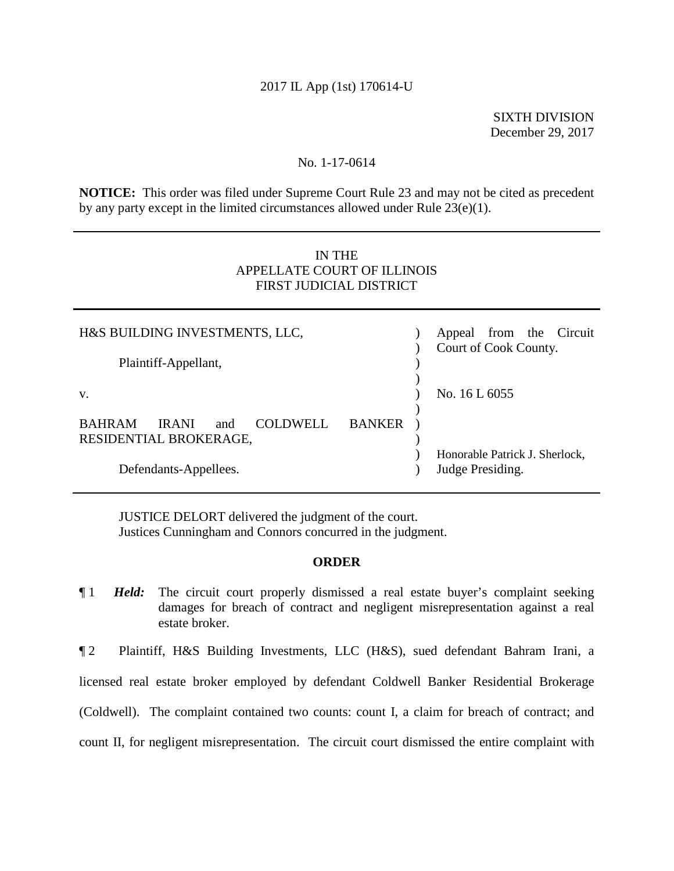## 2017 IL App (1st) 170614-U

 SIXTH DIVISION December 29, 2017

## No. 1-17-0614

**NOTICE:** This order was filed under Supreme Court Rule 23 and may not be cited as precedent by any party except in the limited circumstances allowed under Rule 23(e)(1).

## IN THE APPELLATE COURT OF ILLINOIS FIRST JUDICIAL DISTRICT

| H&S BUILDING INVESTMENTS, LLC,                   |               | Appeal from the Circuit<br>Court of Cook County. |
|--------------------------------------------------|---------------|--------------------------------------------------|
| Plaintiff-Appellant,                             |               |                                                  |
| V.                                               |               | No. 16 L 6055                                    |
| <b>BAHRAM</b><br><b>IRANI</b>                    |               |                                                  |
| and<br><b>COLDWELL</b><br>RESIDENTIAL BROKERAGE, | <b>BANKER</b> |                                                  |
|                                                  |               | Honorable Patrick J. Sherlock,                   |
| Defendants-Appellees.                            |               | Judge Presiding.                                 |

JUSTICE DELORT delivered the judgment of the court. Justices Cunningham and Connors concurred in the judgment.

## **ORDER**

¶ 1 *Held:* The circuit court properly dismissed a real estate buyer's complaint seeking damages for breach of contract and negligent misrepresentation against a real estate broker.

 ¶ 2 Plaintiff, H&S Building Investments, LLC (H&S), sued defendant Bahram Irani, a licensed real estate broker employed by defendant Coldwell Banker Residential Brokerage (Coldwell). The complaint contained two counts: count I, a claim for breach of contract; and count II, for negligent misrepresentation. The circuit court dismissed the entire complaint with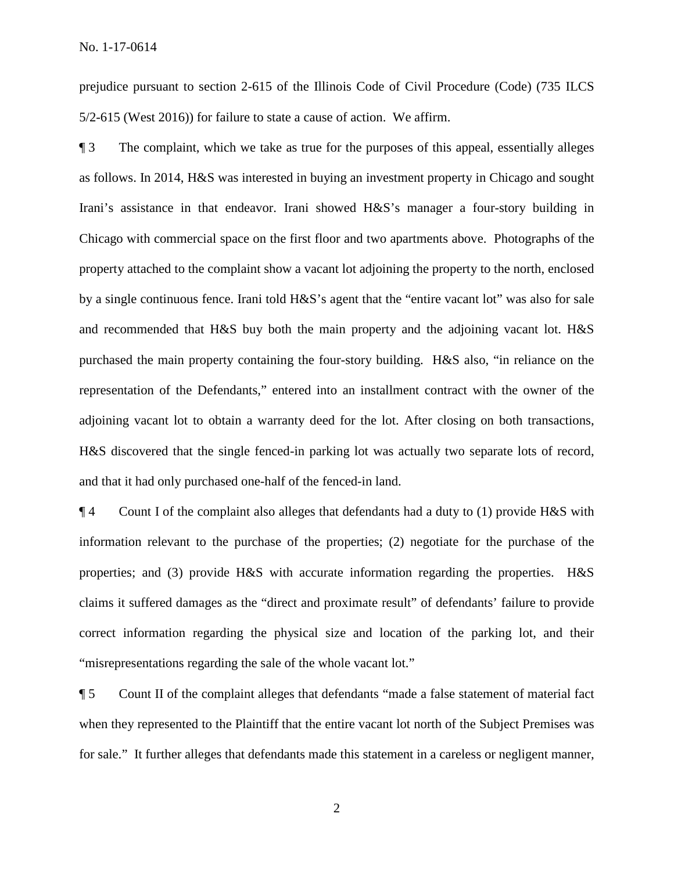5/2-615 (West 2016)) for failure to state a cause of action. We affirm. prejudice pursuant to section 2-615 of the Illinois Code of Civil Procedure (Code) (735 ILCS

¶ 3 The complaint, which we take as true for the purposes of this appeal, essentially alleges as follows. In 2014, H&S was interested in buying an investment property in Chicago and sought Irani's assistance in that endeavor. Irani showed H&S's manager a four-story building in Chicago with commercial space on the first floor and two apartments above. Photographs of the property attached to the complaint show a vacant lot adjoining the property to the north, enclosed by a single continuous fence. Irani told H&S's agent that the "entire vacant lot" was also for sale and recommended that H&S buy both the main property and the adjoining vacant lot. H&S purchased the main property containing the four-story building. H&S also, "in reliance on the representation of the Defendants," entered into an installment contract with the owner of the adjoining vacant lot to obtain a warranty deed for the lot. After closing on both transactions, H&S discovered that the single fenced-in parking lot was actually two separate lots of record, and that it had only purchased one-half of the fenced-in land.

**The 4** Count I of the complaint also alleges that defendants had a duty to (1) provide H&S with properties; and (3) provide H&S with accurate information regarding the properties. H&S "misrepresentations regarding the sale of the whole vacant lot." information relevant to the purchase of the properties; (2) negotiate for the purchase of the claims it suffered damages as the "direct and proximate result" of defendants' failure to provide correct information regarding the physical size and location of the parking lot, and their

 "misrepresentations regarding the sale of the whole vacant lot." ¶ 5 Count II of the complaint alleges that defendants "made a false statement of material fact for sale." It further alleges that defendants made this statement in a careless or negligent manner, when they represented to the Plaintiff that the entire vacant lot north of the Subject Premises was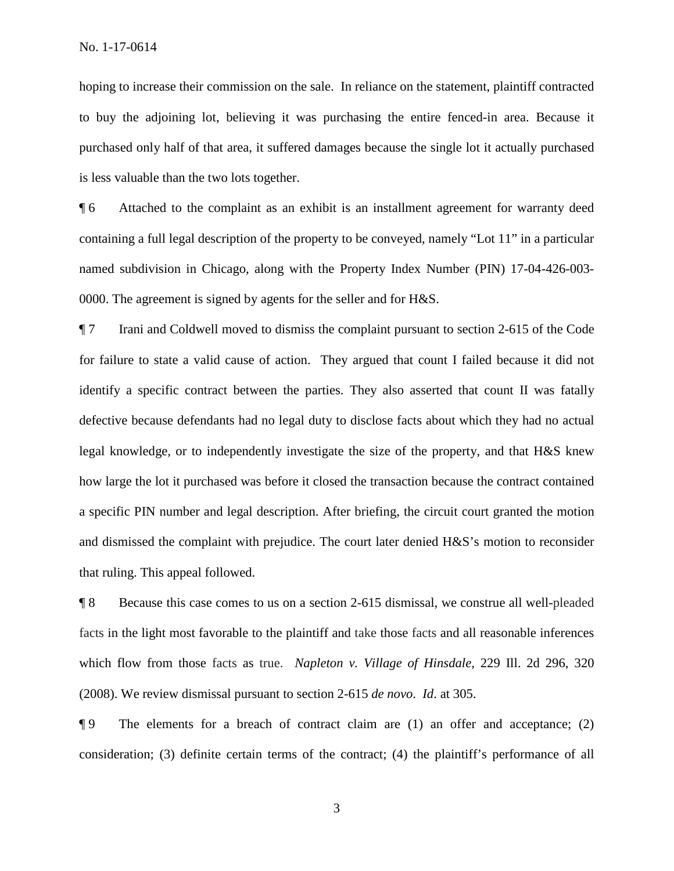hoping to increase their commission on the sale. In reliance on the statement, plaintiff contracted to buy the adjoining lot, believing it was purchasing the entire fenced-in area. Because it purchased only half of that area, it suffered damages because the single lot it actually purchased is less valuable than the two lots together.

 ¶ 6 Attached to the complaint as an exhibit is an installment agreement for warranty deed named subdivision in Chicago, along with the Property Index Number (PIN) 17-04-426-003 containing a full legal description of the property to be conveyed, namely "Lot 11" in a particular 0000. The agreement is signed by agents for the seller and for H&S.

 for failure to state a valid cause of action. They argued that count I failed because it did not ¶ 7 Irani and Coldwell moved to dismiss the complaint pursuant to section 2-615 of the Code identify a specific contract between the parties. They also asserted that count II was fatally defective because defendants had no legal duty to disclose facts about which they had no actual legal knowledge, or to independently investigate the size of the property, and that H&S knew how large the lot it purchased was before it closed the transaction because the contract contained a specific PIN number and legal description. After briefing, the circuit court granted the motion and dismissed the complaint with prejudice. The court later denied H&S's motion to reconsider that ruling. This appeal followed.

 facts in the light most favorable to the plaintiff and take those facts and all reasonable inferences which flow from those facts as true. *Napleton v. Village of Hinsdale*, 229 Ill. 2d 296, 320 ¶ 8 Because this case comes to us on a section 2-615 dismissal, we construe all well-pleaded (2008). We review dismissal pursuant to section 2-615 *de novo*. *Id*. at 305.

¶ 9 The elements for a breach of contract claim are (1) an offer and acceptance; (2) consideration; (3) definite certain terms of the contract; (4) the plaintiff's performance of all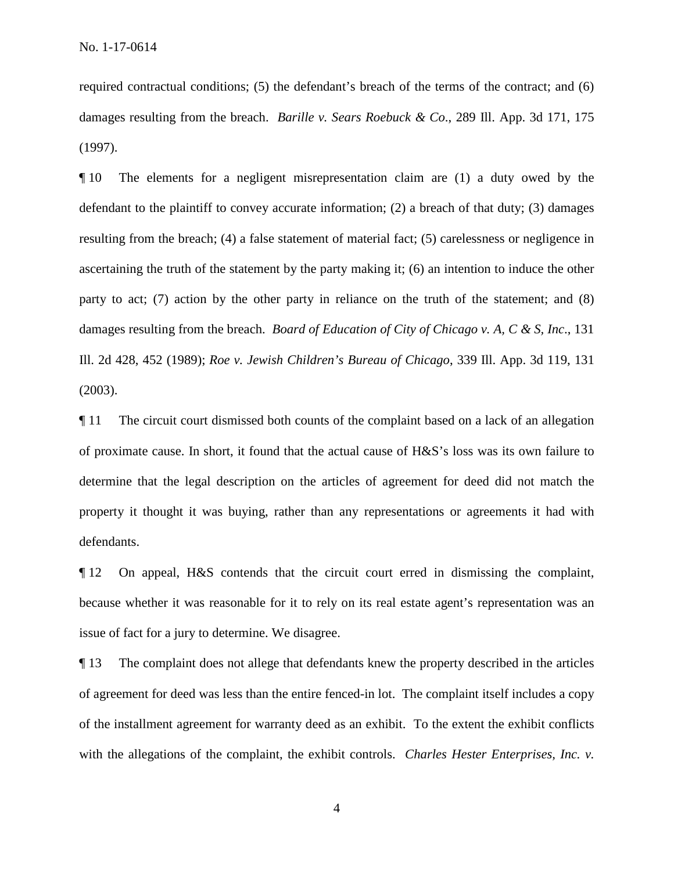damages resulting from the breach. *Barille v. Sears Roebuck & Co*., 289 Ill. App. 3d 171, 175 required contractual conditions; (5) the defendant's breach of the terms of the contract; and (6) (1997).

 defendant to the plaintiff to convey accurate information; (2) a breach of that duty; (3) damages damages resulting from the breach. *Board of Education of City of Chicago v. A, C & S, Inc*., 131 ¶ 10 The elements for a negligent misrepresentation claim are (1) a duty owed by the resulting from the breach; (4) a false statement of material fact; (5) carelessness or negligence in ascertaining the truth of the statement by the party making it; (6) an intention to induce the other party to act; (7) action by the other party in reliance on the truth of the statement; and (8) Ill. 2d 428, 452 (1989); *Roe v. Jewish Children's Bureau of Chicago*, 339 Ill. App. 3d 119, 131 (2003).

 determine that the legal description on the articles of agreement for deed did not match the ¶ 11 The circuit court dismissed both counts of the complaint based on a lack of an allegation of proximate cause. In short, it found that the actual cause of H&S's loss was its own failure to property it thought it was buying, rather than any representations or agreements it had with defendants.

¶ 12 On appeal, H&S contends that the circuit court erred in dismissing the complaint, because whether it was reasonable for it to rely on its real estate agent's representation was an issue of fact for a jury to determine. We disagree.

 with the allegations of the complaint, the exhibit controls. *Charles Hester Enterprises, Inc. v.*  ¶ 13 The complaint does not allege that defendants knew the property described in the articles of agreement for deed was less than the entire fenced-in lot. The complaint itself includes a copy of the installment agreement for warranty deed as an exhibit. To the extent the exhibit conflicts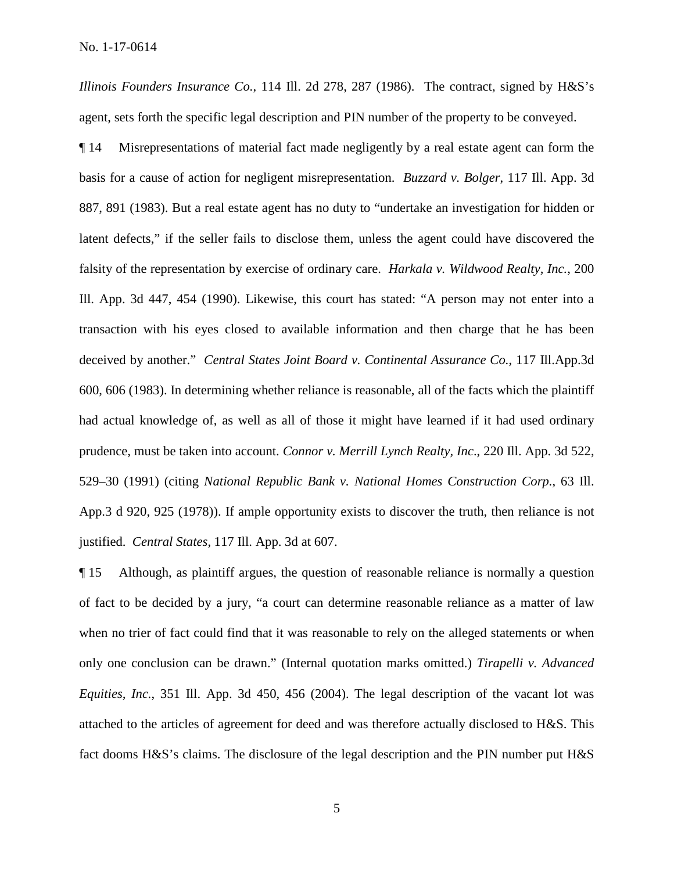agent, sets forth the specific legal description and PIN number of the property to be conveyed. *Illinois Founders Insurance Co.*, 114 Ill. 2d 278, 287 (1986). The contract, signed by H&S's

 falsity of the representation by exercise of ordinary care. *Harkala v. Wildwood Realty, Inc.*, 200 Ill. App. 3d 447, 454 (1990). Likewise, this court has stated: "A person may not enter into a deceived by another." *Central States Joint Board v. Continental Assurance Co.*, 117 Ill.App.3d ¶ 14 Misrepresentations of material fact made negligently by a real estate agent can form the basis for a cause of action for negligent misrepresentation. *Buzzard v. Bolger*, 117 Ill. App. 3d 887, 891 (1983). But a real estate agent has no duty to "undertake an investigation for hidden or latent defects," if the seller fails to disclose them, unless the agent could have discovered the transaction with his eyes closed to available information and then charge that he has been 600, 606 (1983). In determining whether reliance is reasonable, all of the facts which the plaintiff had actual knowledge of, as well as all of those it might have learned if it had used ordinary prudence, must be taken into account. *Connor v. Merrill Lynch Realty, Inc*., 220 Ill. App. 3d 522, 529–30 (1991) (citing *National Republic Bank v. National Homes Construction Corp.*, 63 Ill. App.3 d 920, 925 (1978)). If ample opportunity exists to discover the truth, then reliance is not justified. *Central States*, 117 Ill. App. 3d at 607.

 when no trier of fact could find that it was reasonable to rely on the alleged statements or when ¶ 15 Although, as plaintiff argues, the question of reasonable reliance is normally a question of fact to be decided by a jury, "a court can determine reasonable reliance as a matter of law only one conclusion can be drawn." (Internal quotation marks omitted.) *Tirapelli v. Advanced Equities, Inc.*, 351 Ill. App. 3d 450, 456 (2004). The legal description of the vacant lot was attached to the articles of agreement for deed and was therefore actually disclosed to H&S. This fact dooms H&S's claims. The disclosure of the legal description and the PIN number put H&S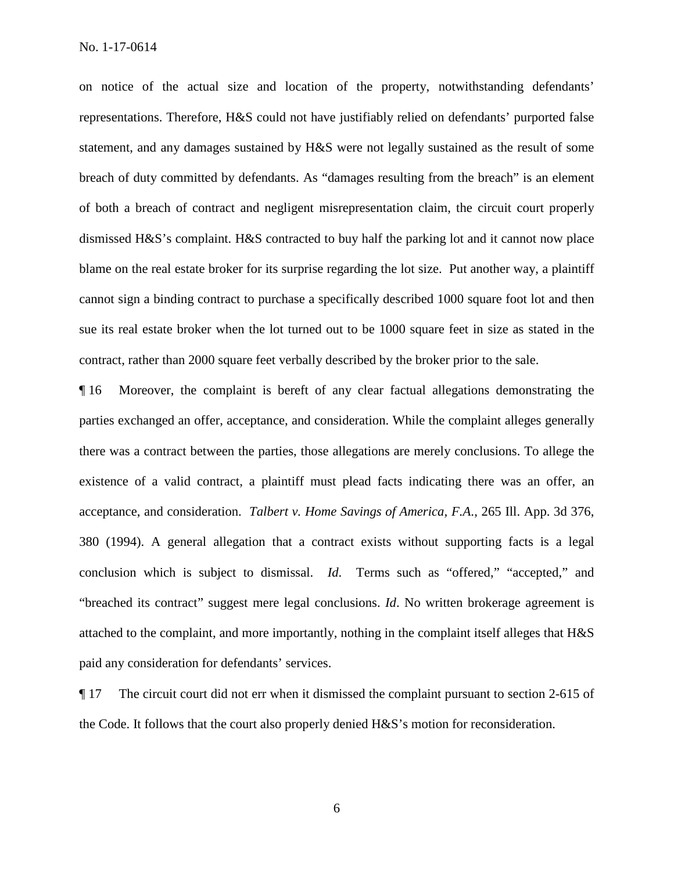on notice of the actual size and location of the property, notwithstanding defendants' representations. Therefore, H&S could not have justifiably relied on defendants' purported false statement, and any damages sustained by H&S were not legally sustained as the result of some breach of duty committed by defendants. As "damages resulting from the breach" is an element of both a breach of contract and negligent misrepresentation claim, the circuit court properly dismissed H&S's complaint. H&S contracted to buy half the parking lot and it cannot now place blame on the real estate broker for its surprise regarding the lot size. Put another way, a plaintiff cannot sign a binding contract to purchase a specifically described 1000 square foot lot and then sue its real estate broker when the lot turned out to be 1000 square feet in size as stated in the contract, rather than 2000 square feet verbally described by the broker prior to the sale.

 ¶ 16 Moreover, the complaint is bereft of any clear factual allegations demonstrating the there was a contract between the parties, those allegations are merely conclusions. To allege the existence of a valid contract, a plaintiff must plead facts indicating there was an offer, an acceptance, and consideration. *Talbert v. Home Savings of America, F.A*., 265 Ill. App. 3d 376, parties exchanged an offer, acceptance, and consideration. While the complaint alleges generally 380 (1994). A general allegation that a contract exists without supporting facts is a legal conclusion which is subject to dismissal. *Id*. Terms such as "offered," "accepted," and "breached its contract" suggest mere legal conclusions. *Id*. No written brokerage agreement is attached to the complaint, and more importantly, nothing in the complaint itself alleges that H&S paid any consideration for defendants' services.

¶ 17 The circuit court did not err when it dismissed the complaint pursuant to section 2-615 of the Code. It follows that the court also properly denied H&S's motion for reconsideration.